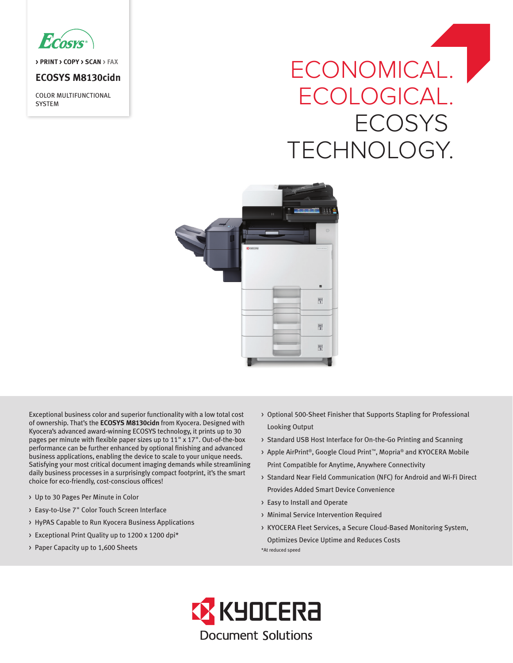

**> PRINT > COPY > SCAN > FAX**

# **ECOSYS M8130cidn**

COLOR MULTIFUNCTIONAL **SYSTEM** 

# ECONOMICAL. ECOLOGICAL. **ECOSYS** TECHNOLOGY.



Exceptional business color and superior functionality with a low total cost of ownership. That's the **ECOSYS M8130cidn** from Kyocera. Designed with Kyocera's advanced award-winning ECOSYS technology, it prints up to 30 pages per minute with flexible paper sizes up to 11" x 17". Out-of-the-box performance can be further enhanced by optional finishing and advanced business applications, enabling the device to scale to your unique needs. Satisfying your most critical document imaging demands while streamlining daily business processes in a surprisingly compact footprint, it's the smart choice for eco-friendly, cost-conscious offices!

- > Up to 30 Pages Per Minute in Color
- > Easy-to-Use 7" Color Touch Screen Interface
- > HyPAS Capable to Run Kyocera Business Applications
- > Exceptional Print Quality up to 1200 x 1200 dpi\*
- > Paper Capacity up to 1,600 Sheets
- > Optional 500-Sheet Finisher that Supports Stapling for Professional Looking Output
- > Standard USB Host Interface for On-the-Go Printing and Scanning
- > Apple AirPrint®, Google Cloud Print™, Mopria® and KYOCERA Mobile Print Compatible for Anytime, Anywhere Connectivity
- > Standard Near Field Communication (NFC) for Android and Wi-Fi Direct Provides Added Smart Device Convenience
- > Easy to Install and Operate
- > Minimal Service Intervention Required
- > KYOCERA Fleet Services, a Secure Cloud-Based Monitoring System, Optimizes Device Uptime and Reduces Costs

\*At reduced speed